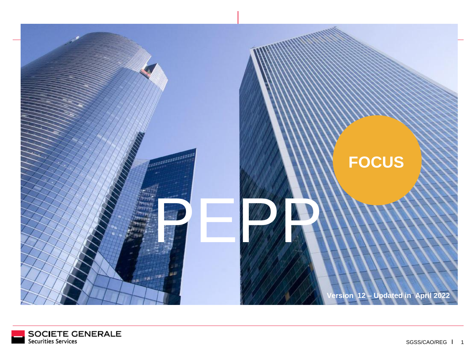

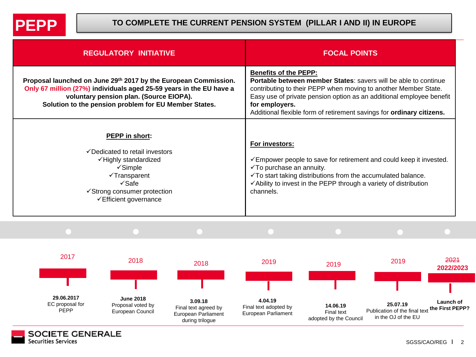

## **TO COMPLETE THE CURRENT PENSION SYSTEM (PILLAR I AND II) IN EUROPE**

| <b>REGULATORY INITIATIVE</b>                                                                                                                                                                                                               | <b>FOCAL POINTS</b>                                                                                                                                                                                                                                                                                                                   |
|--------------------------------------------------------------------------------------------------------------------------------------------------------------------------------------------------------------------------------------------|---------------------------------------------------------------------------------------------------------------------------------------------------------------------------------------------------------------------------------------------------------------------------------------------------------------------------------------|
| Proposal launched on June 29th 2017 by the European Commission.<br>Only 67 million (27%) individuals aged 25-59 years in the EU have a<br>voluntary pension plan. (Source EIOPA).<br>Solution to the pension problem for EU Member States. | <b>Benefits of the PEPP:</b><br>Portable between member States: savers will be able to continue<br>contributing to their PEPP when moving to another Member State.<br>Easy use of private pension option as an additional employee benefit<br>for employers.<br>Additional flexible form of retirement savings for ordinary citizens. |
| <b>PEPP</b> in short:<br>✓ Dedicated to retail investors<br>√Highly standardized<br>$\checkmark$ Simple<br>√Transparent<br>$\checkmark$ Safe<br>✔ Strong consumer protection<br>$\checkmark$ Efficient governance                          | For investors:<br>Empower people to save for retirement and could keep it invested.<br>$\checkmark$ To purchase an annuity.<br>$\checkmark$ To start taking distributions from the accumulated balance.<br>$\checkmark$ Ability to invest in the PEPP through a variety of distribution<br>channels.                                  |



**SOCIETE GENERALE**<br>Securities Services